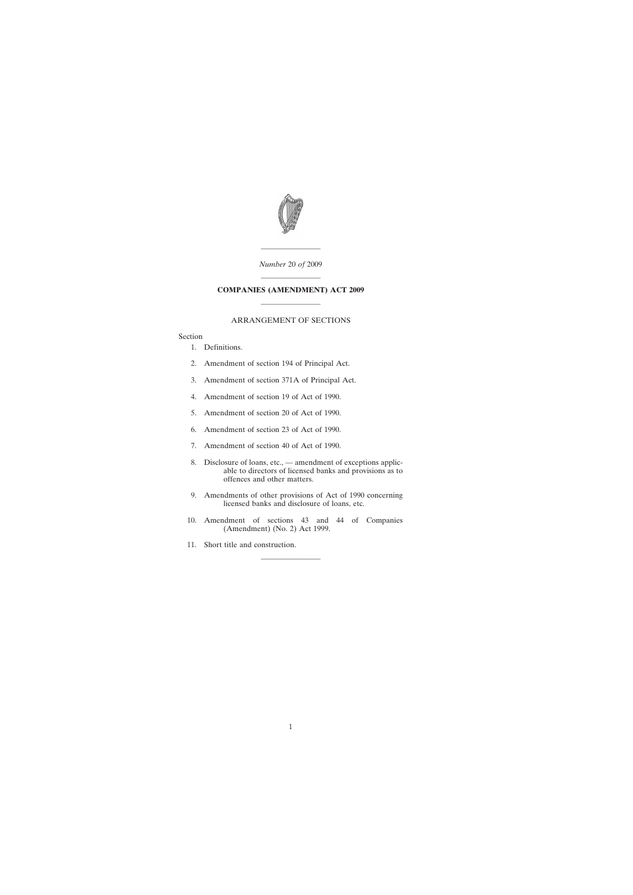

———————— *Number* 20 *of* 2009

# ———————— **COMPANIES (AMENDMENT) ACT 2009** ————————

### ARRANGEMENT OF SECTIONS

Section

- [1. Definitions.](#page-2-0)
- [2. Amendment of section 194 of Principal Act.](#page-2-0)
- [3. Amendment of section 371A of Principal Act.](#page-3-0)
- [4. Amendment of section 19 of Act of 1990.](#page-3-0)
- [5. Amendment of section 20 of Act of 1990.](#page-4-0)
- [6. Amendment of section 23 of Act of 1990.](#page-9-0)
- [7. Amendment of section 40 of Act of 1990.](#page-10-0)
- [8. Disclosure of loans, etc., amendment of exceptions applic](#page-10-0)able to directors of licensed banks and provisions as to offences and other matters.
- [9. Amendments of other provisions of Act of 1990 concerning](#page-13-0) licensed banks and disclosure of loans, etc.
- [10. Amendment of sections 43 and 44 of Companies](#page-14-0) (Amendment) (No. 2) Act 1999.

————————

[11. Short title and construction.](#page-15-0)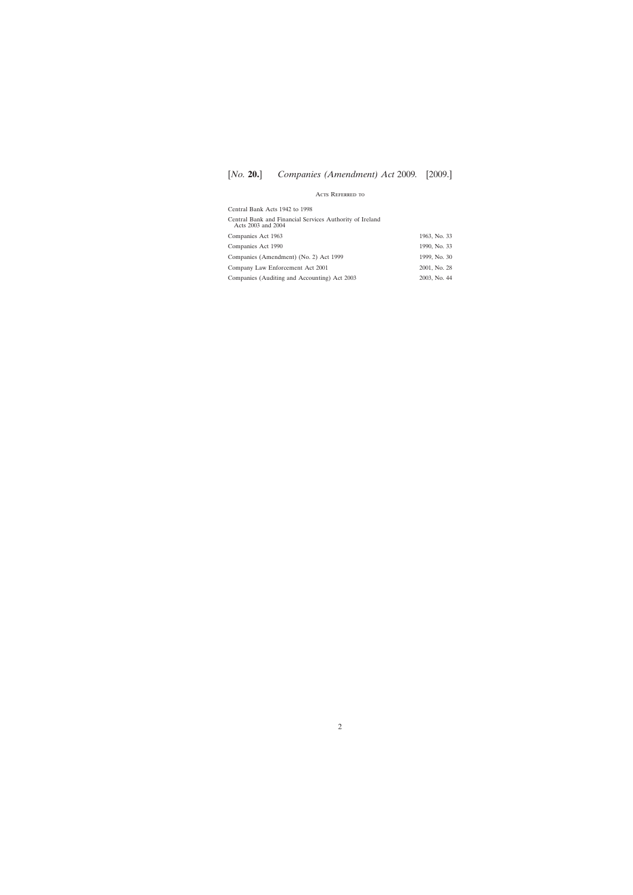### Acts Referred to

| Central Bank Acts 1942 to 1998                                                 |              |
|--------------------------------------------------------------------------------|--------------|
| Central Bank and Financial Services Authority of Ireland<br>Acts 2003 and 2004 |              |
| Companies Act 1963                                                             | 1963, No. 33 |
| Companies Act 1990                                                             | 1990, No. 33 |
| Companies (Amendment) (No. 2) Act 1999                                         | 1999, No. 30 |
| Company Law Enforcement Act 2001                                               | 2001, No. 28 |
| Companies (Auditing and Accounting) Act 2003                                   | 2003, No. 44 |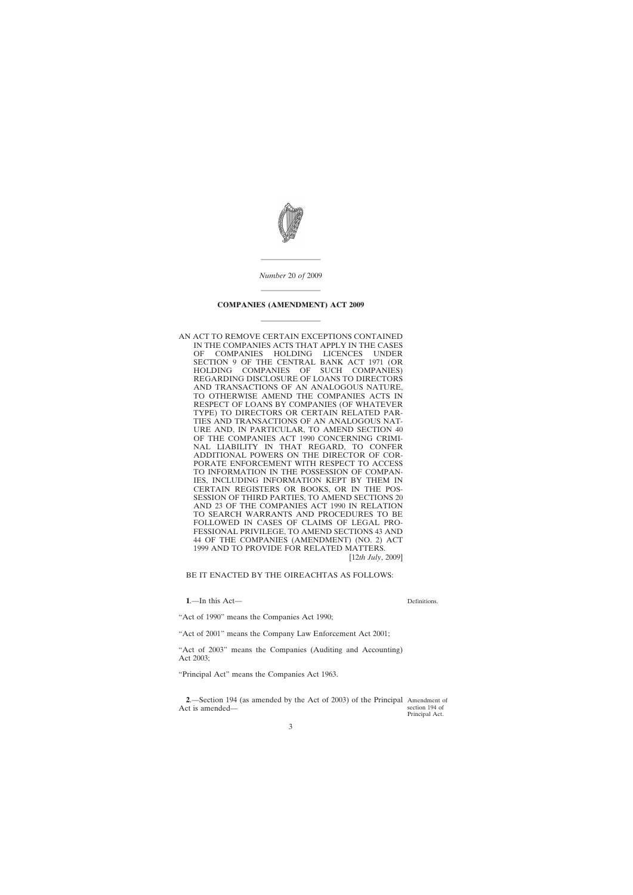<span id="page-2-0"></span>

*Number* 20 *of* 2009

————————

# ———————— **COMPANIES (AMENDMENT) ACT 2009**

————————

AN ACT TO REMOVE CERTAIN EXCEPTIONS CONTAINED IN THE COMPANIES ACTS THAT APPLY IN THE CASES OF COMPANIES HOLDING LICENCES UNDER SECTION 9 OF THE CENTRAL BANK ACT 1971 (OR<br>HOLDING COMPANIES OF SUCH COMPANIES) HOLDING COMPANIES OF SUCH COMPANIES) REGARDING DISCLOSURE OF LOANS TO DIRECTORS AND TRANSACTIONS OF AN ANALOGOUS NATURE, TO OTHERWISE AMEND THE COMPANIES ACTS IN RESPECT OF LOANS BY COMPANIES (OF WHATEVER TYPE) TO DIRECTORS OR CERTAIN RELATED PAR-TIES AND TRANSACTIONS OF AN ANALOGOUS NAT-URE AND, IN PARTICULAR, TO AMEND SECTION 40 OF THE COMPANIES ACT 1990 CONCERNING CRIMI-NAL LIABILITY IN THAT REGARD, TO CONFER ADDITIONAL POWERS ON THE DIRECTOR OF COR-PORATE ENFORCEMENT WITH RESPECT TO ACCESS TO INFORMATION IN THE POSSESSION OF COMPAN-IES, INCLUDING INFORMATION KEPT BY THEM IN CERTAIN REGISTERS OR BOOKS, OR IN THE POS-SESSION OF THIRD PARTIES, TO AMEND SECTIONS 20 AND 23 OF THE COMPANIES ACT 1990 IN RELATION TO SEARCH WARRANTS AND PROCEDURES TO BE FOLLOWED IN CASES OF CLAIMS OF LEGAL PRO-FESSIONAL PRIVILEGE, TO AMEND SECTIONS 43 AND 44 OF THE COMPANIES (AMENDMENT) (NO. 2) ACT 1999 AND TO PROVIDE FOR RELATED MATTERS.

[12*th July*, 2009]

#### BE IT ENACTED BY THE OIREACHTAS AS FOLLOWS:

**1**.—In this Act—

Definitions.

"Act of 1990" means the Companies Act 1990;

"Act of 2001" means the Company Law Enforcement Act 2001;

"Act of 2003" means the Companies (Auditing and Accounting) Act 2003;

"Principal Act" means the Companies Act 1963.

**2**.—Section 194 (as amended by the Act of 2003) of the Principal Amendment of Act is amended section 194 of Principal Act.

3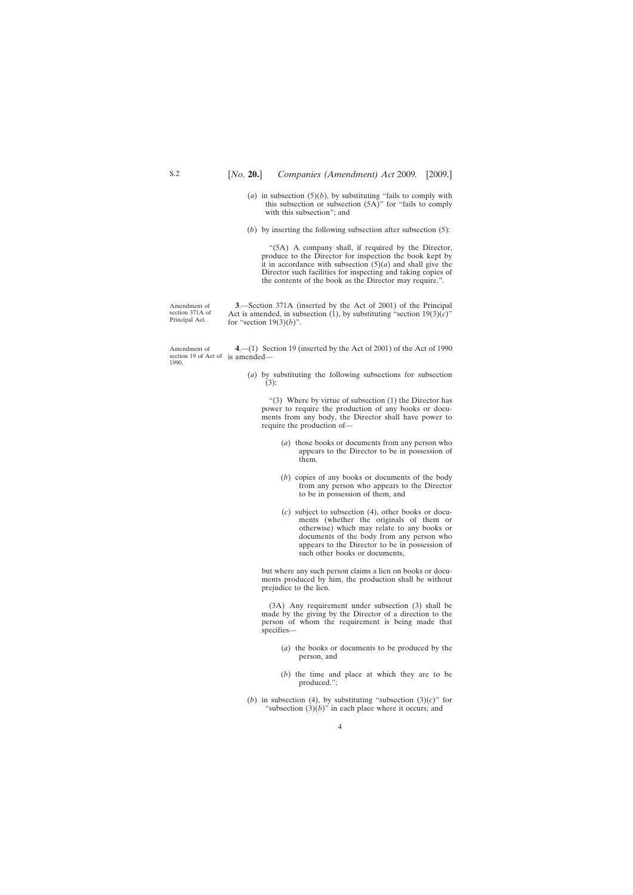- <span id="page-3-0"></span>(*a*) in subsection  $(5)(b)$ , by substituting "fails to comply with this subsection or subsection  $(5A)$ " for "fails to comply with this subsection"; and
- (*b*) by inserting the following subsection after subsection (5):

"(5A) A company shall, if required by the Director, produce to the Director for inspection the book kept by it in accordance with subsection  $(5)(a)$  and shall give the Director such facilities for inspecting and taking copies of the contents of the book as the Director may require.".

Amendment of section 371A of Principal Act.

**3**.—Section 371A (inserted by the Act of 2001) of the Principal Act is amended, in subsection (1), by substituting "section  $19(3)(c)$ " for "section 19(3)(*b*)".

Amendment of section 19 of Act of is amended— 1990. **4**.—(1) Section 19 (inserted by the Act of 2001) of the Act of 1990

> (*a*) by substituting the following subsections for subsection (3):

"(3) Where by virtue of subsection  $(1)$  the Director has power to require the production of any books or documents from any body, the Director shall have power to require the production of—

- (*a*) those books or documents from any person who appears to the Director to be in possession of them,
- (*b*) copies of any books or documents of the body from any person who appears to the Director to be in possession of them, and
- (*c*) subject to subsection (4), other books or documents (whether the originals of them or otherwise) which may relate to any books or documents of the body from any person who appears to the Director to be in possession of such other books or documents,

but where any such person claims a lien on books or documents produced by him, the production shall be without prejudice to the lien.

(3A) Any requirement under subsection (3) shall be made by the giving by the Director of a direction to the person of whom the requirement is being made that specifies—

- (*a*) the books or documents to be produced by the person, and
- (*b*) the time and place at which they are to be produced.";
- (*b*) in subsection (4), by substituting "subsection (3)(*c*)" for "subsection  $(3)(b)$ " in each place where it occurs; and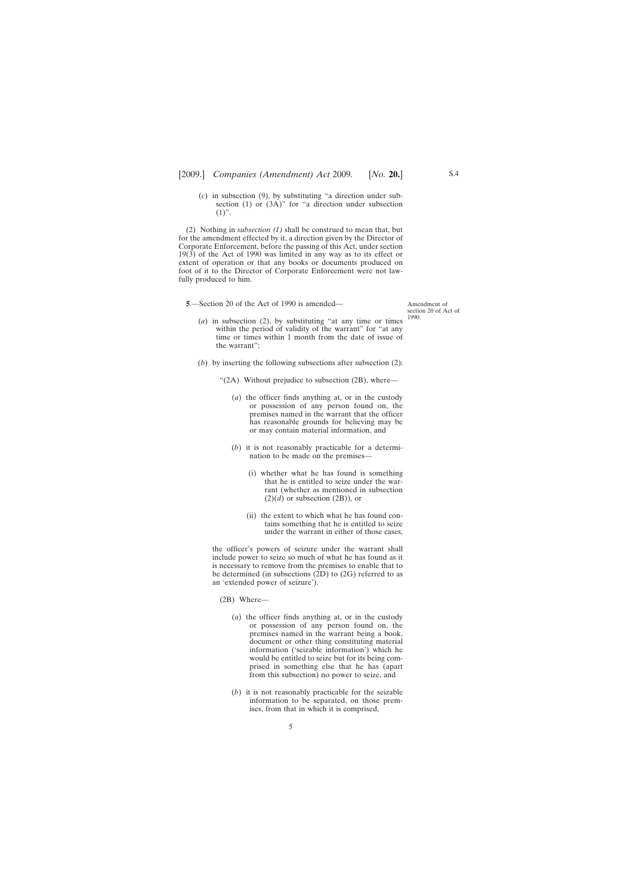<span id="page-4-0"></span>(*c*) in subsection (9), by substituting "a direction under subsection (1) or (3A)" for "a direction under subsection  $(1)$ ".

(2) Nothing in *subsection (1)* shall be construed to mean that, but for the amendment effected by it, a direction given by the Director of Corporate Enforcement, before the passing of this Act, under section  $19(3)$  of the Act of 1990 was limited in any way as to its effect or extent of operation or that any books or documents produced on foot of it to the Director of Corporate Enforcement were not lawfully produced to him.

**5**.—Section 20 of the Act of 1990 is amended—

- (*a*) in subsection (2), by substituting "at any time or times within the period of validity of the warrant" for "at any time or times within 1 month from the date of issue of the warrant";
- (*b*) by inserting the following subsections after subsection (2):

"(2A) Without prejudice to subsection (2B), where—

- (*a*) the officer finds anything at, or in the custody or possession of any person found on, the premises named in the warrant that the officer has reasonable grounds for believing may be or may contain material information, and
- (*b*) it is not reasonably practicable for a determination to be made on the premises—
	- (i) whether what he has found is something that he is entitled to seize under the warrant (whether as mentioned in subsection  $(2)(d)$  or subsection  $(2B)$ ), or
	- (ii) the extent to which what he has found contains something that he is entitled to seize under the warrant in either of those cases,

the officer's powers of seizure under the warrant shall include power to seize so much of what he has found as it is necessary to remove from the premises to enable that to be determined (in subsections (2D) to (2G) referred to as an 'extended power of seizure').

- (2B) Where—
	- (*a*) the officer finds anything at, or in the custody or possession of any person found on, the premises named in the warrant being a book, document or other thing constituting material information ('seizable information') which he would be entitled to seize but for its being comprised in something else that he has (apart from this subsection) no power to seize, and
	- (*b*) it is not reasonably practicable for the seizable information to be separated, on those premises, from that in which it is comprised,

5

Amendment of section 20 of Act of 1990.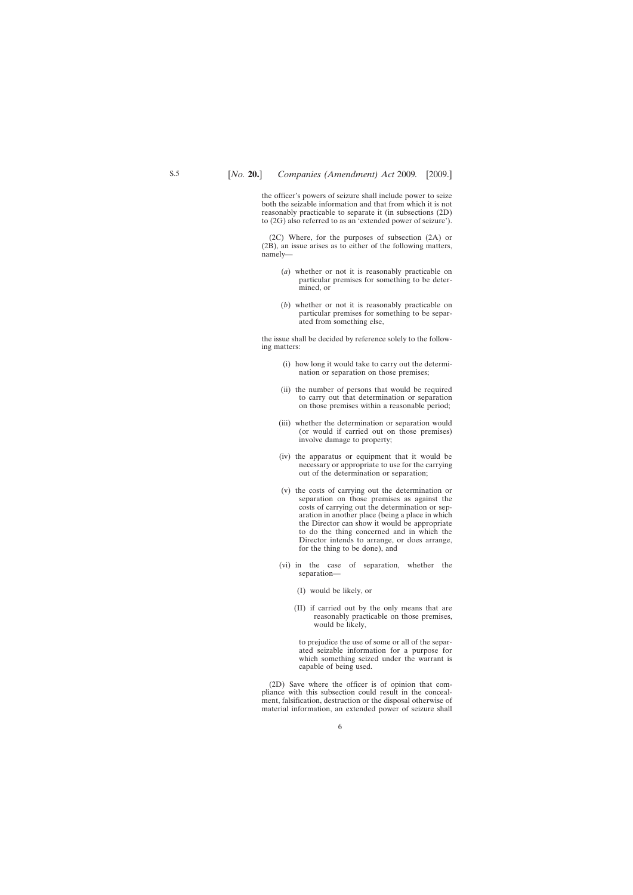the officer's powers of seizure shall include power to seize both the seizable information and that from which it is not reasonably practicable to separate it (in subsections (2D) to (2G) also referred to as an 'extended power of seizure').

(2C) Where, for the purposes of subsection (2A) or (2B), an issue arises as to either of the following matters, namely—

- (*a*) whether or not it is reasonably practicable on particular premises for something to be determined, or
- (*b*) whether or not it is reasonably practicable on particular premises for something to be separated from something else,

the issue shall be decided by reference solely to the following matters:

- (i) how long it would take to carry out the determination or separation on those premises;
- (ii) the number of persons that would be required to carry out that determination or separation on those premises within a reasonable period;
- (iii) whether the determination or separation would (or would if carried out on those premises) involve damage to property;
- (iv) the apparatus or equipment that it would be necessary or appropriate to use for the carrying out of the determination or separation;
- (v) the costs of carrying out the determination or separation on those premises as against the costs of carrying out the determination or separation in another place (being a place in which the Director can show it would be appropriate to do the thing concerned and in which the Director intends to arrange, or does arrange, for the thing to be done), and
- (vi) in the case of separation, whether the separation—
	- (I) would be likely, or
	- (II) if carried out by the only means that are reasonably practicable on those premises, would be likely,

to prejudice the use of some or all of the separated seizable information for a purpose for which something seized under the warrant is capable of being used.

(2D) Save where the officer is of opinion that compliance with this subsection could result in the concealment, falsification, destruction or the disposal otherwise of material information, an extended power of seizure shall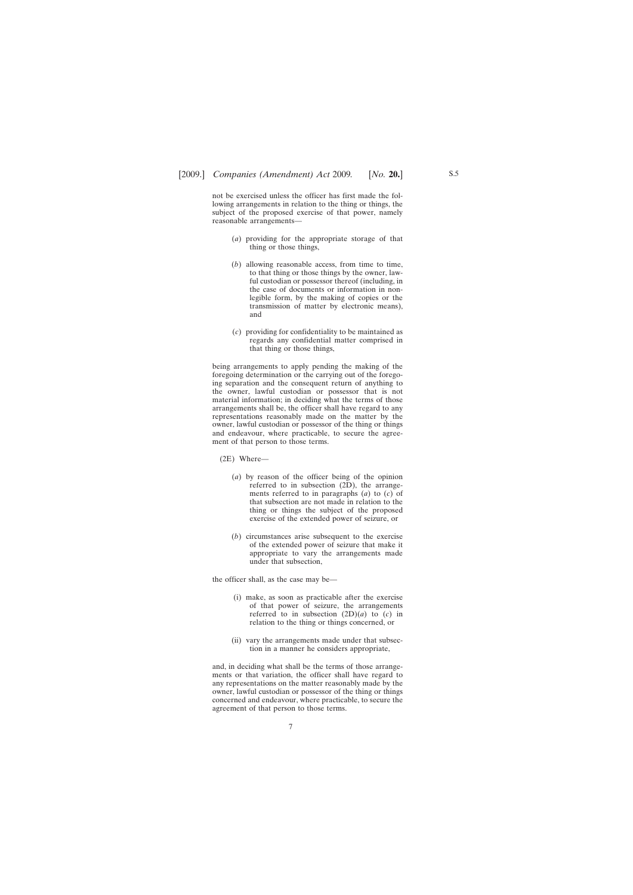not be exercised unless the officer has first made the following arrangements in relation to the thing or things, the subject of the proposed exercise of that power, namely reasonable arrangements—

- (*a*) providing for the appropriate storage of that thing or those things,
- (*b*) allowing reasonable access, from time to time, to that thing or those things by the owner, lawful custodian or possessor thereof (including, in the case of documents or information in nonlegible form, by the making of copies or the transmission of matter by electronic means), and
- (*c*) providing for confidentiality to be maintained as regards any confidential matter comprised in that thing or those things,

being arrangements to apply pending the making of the foregoing determination or the carrying out of the foregoing separation and the consequent return of anything to the owner, lawful custodian or possessor that is not material information; in deciding what the terms of those arrangements shall be, the officer shall have regard to any representations reasonably made on the matter by the owner, lawful custodian or possessor of the thing or things and endeavour, where practicable, to secure the agreement of that person to those terms.

- (2E) Where—
	- (*a*) by reason of the officer being of the opinion referred to in subsection (2D), the arrangements referred to in paragraphs (*a*) to (*c*) of that subsection are not made in relation to the thing or things the subject of the proposed exercise of the extended power of seizure, or
	- (*b*) circumstances arise subsequent to the exercise of the extended power of seizure that make it appropriate to vary the arrangements made under that subsection,

the officer shall, as the case may be—

- (i) make, as soon as practicable after the exercise of that power of seizure, the arrangements referred to in subsection  $(2D)(a)$  to  $(c)$  in relation to the thing or things concerned, or
- (ii) vary the arrangements made under that subsection in a manner he considers appropriate,

and, in deciding what shall be the terms of those arrangements or that variation, the officer shall have regard to any representations on the matter reasonably made by the owner, lawful custodian or possessor of the thing or things concerned and endeavour, where practicable, to secure the agreement of that person to those terms.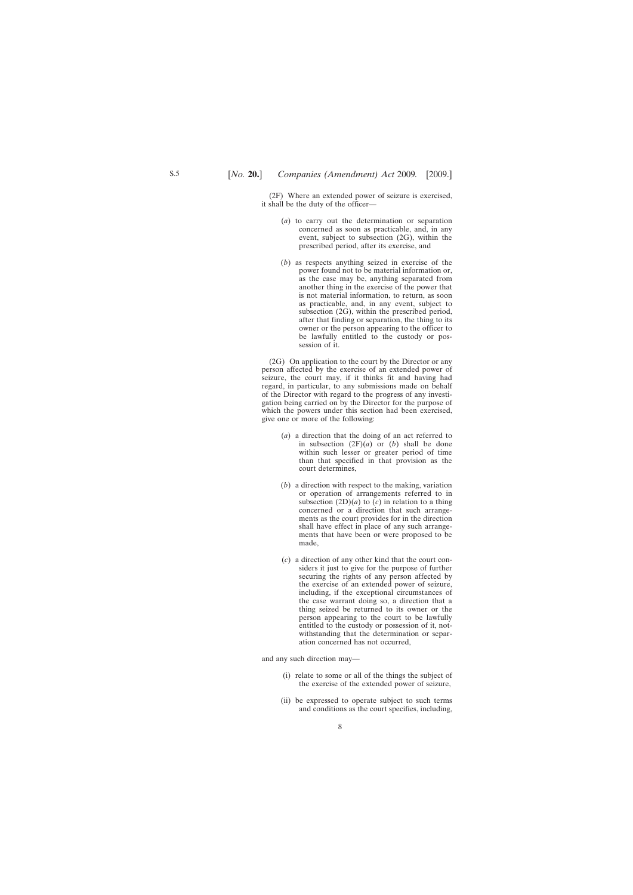(2F) Where an extended power of seizure is exercised, it shall be the duty of the officer—

- (*a*) to carry out the determination or separation concerned as soon as practicable, and, in any event, subject to subsection (2G), within the prescribed period, after its exercise, and
- (*b*) as respects anything seized in exercise of the power found not to be material information or, as the case may be, anything separated from another thing in the exercise of the power that is not material information, to return, as soon as practicable, and, in any event, subject to subsection (2G), within the prescribed period, after that finding or separation, the thing to its owner or the person appearing to the officer to be lawfully entitled to the custody or possession of it.

(2G) On application to the court by the Director or any person affected by the exercise of an extended power of seizure, the court may, if it thinks fit and having had regard, in particular, to any submissions made on behalf of the Director with regard to the progress of any investigation being carried on by the Director for the purpose of which the powers under this section had been exercised, give one or more of the following:

- (*a*) a direction that the doing of an act referred to in subsection  $(2F)(a)$  or  $(b)$  shall be done within such lesser or greater period of time than that specified in that provision as the court determines,
- (*b*) a direction with respect to the making, variation or operation of arrangements referred to in subsection  $(2D)(a)$  to  $(c)$  in relation to a thing concerned or a direction that such arrangements as the court provides for in the direction shall have effect in place of any such arrangements that have been or were proposed to be made,
- (*c*) a direction of any other kind that the court considers it just to give for the purpose of further securing the rights of any person affected by the exercise of an extended power of seizure, including, if the exceptional circumstances of the case warrant doing so, a direction that a thing seized be returned to its owner or the person appearing to the court to be lawfully entitled to the custody or possession of it, notwithstanding that the determination or separation concerned has not occurred,

and any such direction may—

- (i) relate to some or all of the things the subject of the exercise of the extended power of seizure,
- (ii) be expressed to operate subject to such terms and conditions as the court specifies, including,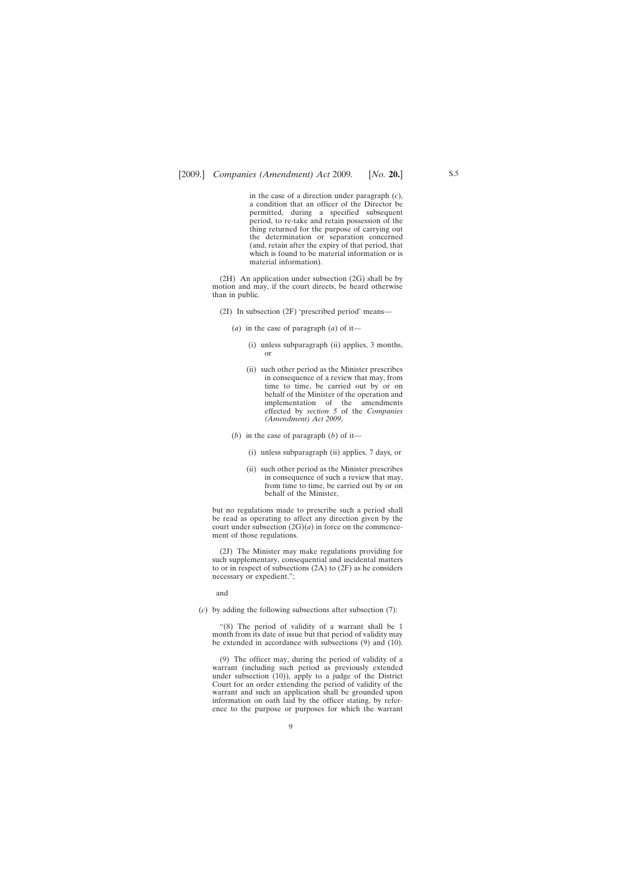in the case of a direction under paragraph (*c*), a condition that an officer of the Director be permitted, during a specified subsequent period, to re-take and retain possession of the thing returned for the purpose of carrying out the determination or separation concerned (and, retain after the expiry of that period, that which is found to be material information or is material information).

(2H) An application under subsection (2G) shall be by motion and may, if the court directs, be heard otherwise than in public.

- (2I) In subsection (2F) 'prescribed period' means—
	- (*a*) in the case of paragraph (*a*) of it—
		- (i) unless subparagraph (ii) applies, 3 months, or
		- (ii) such other period as the Minister prescribes in consequence of a review that may, from time to time, be carried out by or on behalf of the Minister of the operation and implementation of the amendments effected by *section 5* of the *Companies (Amendment) Act 2009*,
	- (*b*) in the case of paragraph (*b*) of it—
		- (i) unless subparagraph (ii) applies, 7 days, or
		- (ii) such other period as the Minister prescribes in consequence of such a review that may, from time to time, be carried out by or on behalf of the Minister,

but no regulations made to prescribe such a period shall be read as operating to affect any direction given by the court under subsection  $(2G)(a)$  in force on the commencement of those regulations.

(2J) The Minister may make regulations providing for such supplementary, consequential and incidental matters to or in respect of subsections (2A) to (2F) as he considers necessary or expedient.";

and

(*c*) by adding the following subsections after subsection (7):

"(8) The period of validity of a warrant shall be 1 month from its date of issue but that period of validity may be extended in accordance with subsections (9) and (10).

(9) The officer may, during the period of validity of a warrant (including such period as previously extended under subsection (10)), apply to a judge of the District Court for an order extending the period of validity of the warrant and such an application shall be grounded upon information on oath laid by the officer stating, by reference to the purpose or purposes for which the warrant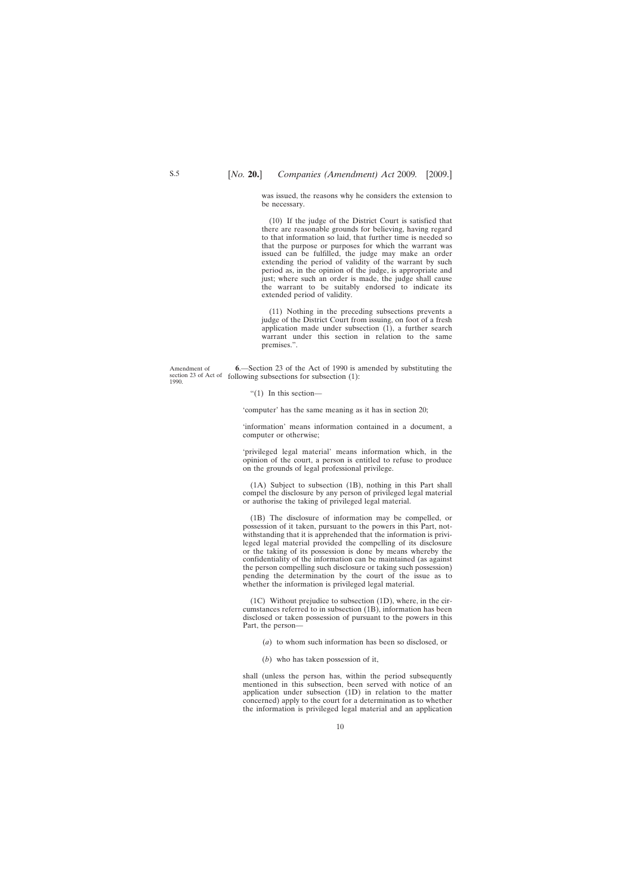<span id="page-9-0"></span>was issued, the reasons why he considers the extension to be necessary.

(10) If the judge of the District Court is satisfied that there are reasonable grounds for believing, having regard to that information so laid, that further time is needed so that the purpose or purposes for which the warrant was issued can be fulfilled, the judge may make an order extending the period of validity of the warrant by such period as, in the opinion of the judge, is appropriate and just; where such an order is made, the judge shall cause the warrant to be suitably endorsed to indicate its extended period of validity.

(11) Nothing in the preceding subsections prevents a judge of the District Court from issuing, on foot of a fresh application made under subsection (1), a further search warrant under this section in relation to the same premises.".

Amendment of section 23 of Act of following subsections for subsection (1): 1990. **6**.—Section 23 of the Act of 1990 is amended by substituting the

"(1) In this section—

'computer' has the same meaning as it has in section 20;

'information' means information contained in a document, a computer or otherwise;

'privileged legal material' means information which, in the opinion of the court, a person is entitled to refuse to produce on the grounds of legal professional privilege.

(1A) Subject to subsection (1B), nothing in this Part shall compel the disclosure by any person of privileged legal material or authorise the taking of privileged legal material.

(1B) The disclosure of information may be compelled, or possession of it taken, pursuant to the powers in this Part, notwithstanding that it is apprehended that the information is privileged legal material provided the compelling of its disclosure or the taking of its possession is done by means whereby the confidentiality of the information can be maintained (as against the person compelling such disclosure or taking such possession) pending the determination by the court of the issue as to whether the information is privileged legal material.

(1C) Without prejudice to subsection (1D), where, in the circumstances referred to in subsection (1B), information has been disclosed or taken possession of pursuant to the powers in this Part, the person—

- (*a*) to whom such information has been so disclosed, or
- (*b*) who has taken possession of it,

shall (unless the person has, within the period subsequently mentioned in this subsection, been served with notice of an application under subsection (1D) in relation to the matter concerned) apply to the court for a determination as to whether the information is privileged legal material and an application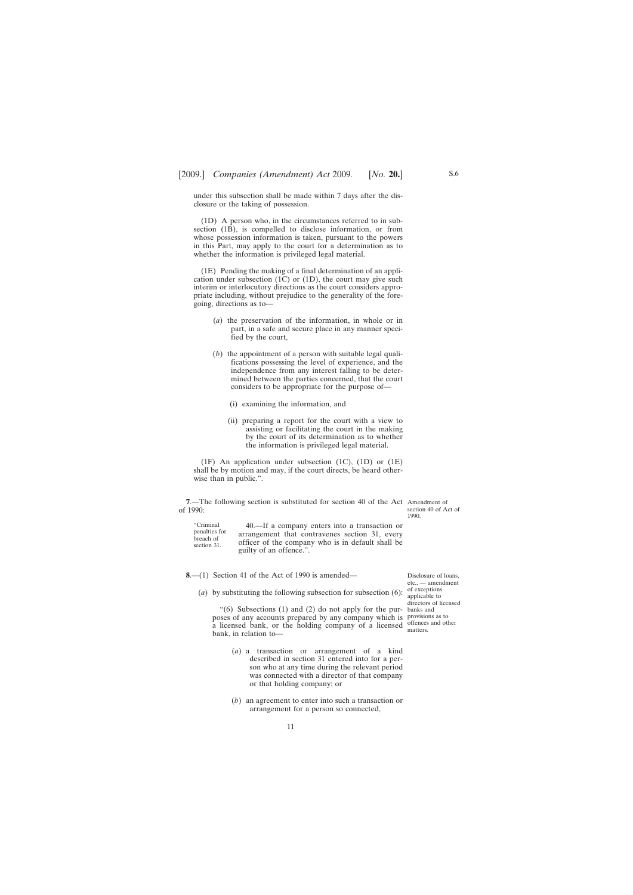<span id="page-10-0"></span>under this subsection shall be made within 7 days after the disclosure or the taking of possession.

(1D) A person who, in the circumstances referred to in subsection (1B), is compelled to disclose information, or from whose possession information is taken, pursuant to the powers in this Part, may apply to the court for a determination as to whether the information is privileged legal material.

(1E) Pending the making of a final determination of an application under subsection (1C) or (1D), the court may give such interim or interlocutory directions as the court considers appropriate including, without prejudice to the generality of the foregoing, directions as to—

- (*a*) the preservation of the information, in whole or in part, in a safe and secure place in any manner specified by the court,
- (*b*) the appointment of a person with suitable legal qualifications possessing the level of experience, and the independence from any interest falling to be determined between the parties concerned, that the court considers to be appropriate for the purpose of—
	- (i) examining the information, and
	- (ii) preparing a report for the court with a view to assisting or facilitating the court in the making by the court of its determination as to whether the information is privileged legal material.

(1F) An application under subsection (1C), (1D) or (1E) shall be by motion and may, if the court directs, be heard otherwise than in public.".

**7.**—The following section is substituted for section 40 of the Act Amendment of of 1990:

section 40 of Act of 1990.

Disclosure of loans, etc., — amendment of exceptions applicable to directors of licensed banks and

matters.

| "Criminal<br>penalties for<br>breach of<br>section 31. | 40.—If a company enters into a transaction or     |
|--------------------------------------------------------|---------------------------------------------------|
|                                                        | arrangement that contravenes section 31, every    |
|                                                        | officer of the company who is in default shall be |
|                                                        | guilty of an offence.".                           |

**8**.—(1) Section 41 of the Act of 1990 is amended—

(*a*) by substituting the following subsection for subsection (6):

" $(6)$  Subsections  $(1)$  and  $(2)$  do not apply for the purposes of any accounts prepared by any company which is provisions as to a licensed bank, or the holding company of a licensed offences and other bank, in relation to—

- (*a*) a transaction or arrangement of a kind described in section 31 entered into for a person who at any time during the relevant period was connected with a director of that company or that holding company; or
- (*b*) an agreement to enter into such a transaction or arrangement for a person so connected,

S.6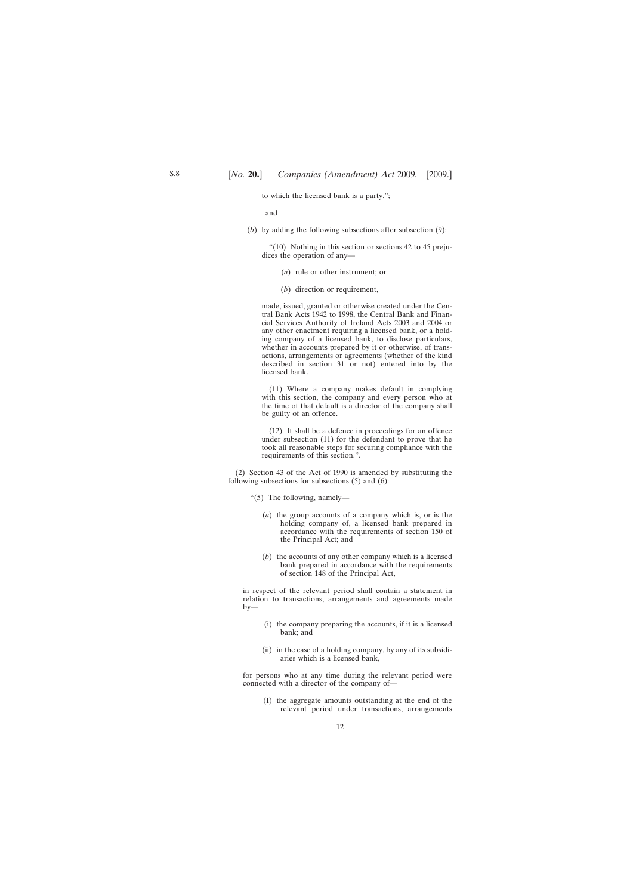to which the licensed bank is a party.";

and

(*b*) by adding the following subsections after subsection (9):

"(10) Nothing in this section or sections 42 to 45 prejudices the operation of any—

- (*a*) rule or other instrument; or
- (*b*) direction or requirement,

made, issued, granted or otherwise created under the Central Bank Acts 1942 to 1998, the Central Bank and Financial Services Authority of Ireland Acts 2003 and 2004 or any other enactment requiring a licensed bank, or a holding company of a licensed bank, to disclose particulars, whether in accounts prepared by it or otherwise, of transactions, arrangements or agreements (whether of the kind described in section 31 or not) entered into by the licensed bank.

(11) Where a company makes default in complying with this section, the company and every person who at the time of that default is a director of the company shall be guilty of an offence.

(12) It shall be a defence in proceedings for an offence under subsection (11) for the defendant to prove that he took all reasonable steps for securing compliance with the requirements of this section.".

(2) Section 43 of the Act of 1990 is amended by substituting the following subsections for subsections (5) and (6):

"(5) The following, namely—

- (*a*) the group accounts of a company which is, or is the holding company of, a licensed bank prepared in accordance with the requirements of section 150 of the Principal Act; and
- (*b*) the accounts of any other company which is a licensed bank prepared in accordance with the requirements of section 148 of the Principal Act,

in respect of the relevant period shall contain a statement in relation to transactions, arrangements and agreements made by—

- (i) the company preparing the accounts, if it is a licensed bank; and
- (ii) in the case of a holding company, by any of its subsidiaries which is a licensed bank,

for persons who at any time during the relevant period were connected with a director of the company of—

(I) the aggregate amounts outstanding at the end of the relevant period under transactions, arrangements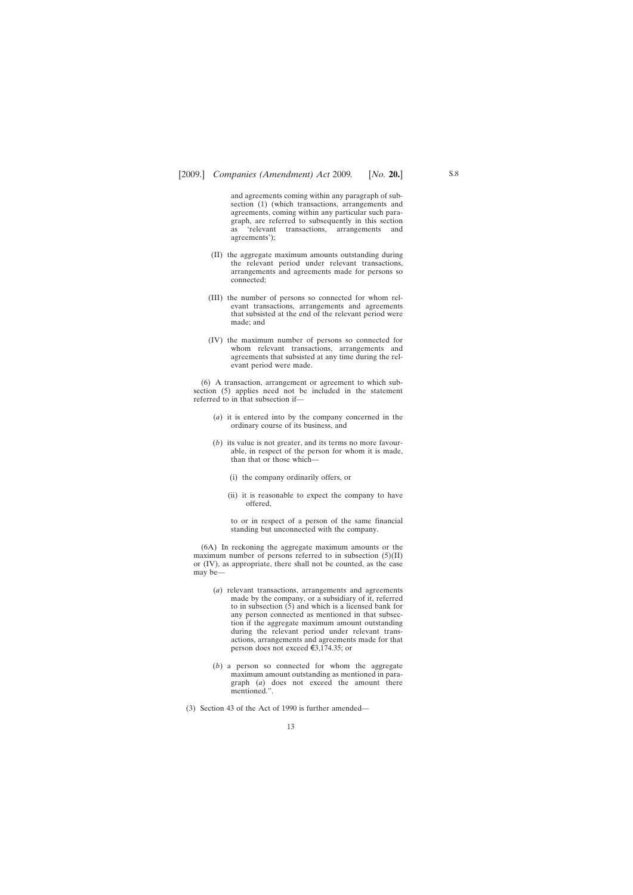and agreements coming within any paragraph of subsection (1) (which transactions, arrangements and agreements, coming within any particular such paragraph, are referred to subsequently in this section as 'relevant transactions, arrangements and agreements');

- (II) the aggregate maximum amounts outstanding during the relevant period under relevant transactions, arrangements and agreements made for persons so connected;
- (III) the number of persons so connected for whom relevant transactions, arrangements and agreements that subsisted at the end of the relevant period were made; and
- (IV) the maximum number of persons so connected for whom relevant transactions, arrangements and agreements that subsisted at any time during the relevant period were made.

(6) A transaction, arrangement or agreement to which subsection (5) applies need not be included in the statement referred to in that subsection if—

- (*a*) it is entered into by the company concerned in the ordinary course of its business, and
- (*b*) its value is not greater, and its terms no more favourable, in respect of the person for whom it is made, than that or those which—
	- (i) the company ordinarily offers, or
	- (ii) it is reasonable to expect the company to have offered,

to or in respect of a person of the same financial standing but unconnected with the company.

(6A) In reckoning the aggregate maximum amounts or the maximum number of persons referred to in subsection  $(5)(II)$ or (IV), as appropriate, there shall not be counted, as the case may be—

- (*a*) relevant transactions, arrangements and agreements made by the company, or a subsidiary of it, referred to in subsection (5) and which is a licensed bank for any person connected as mentioned in that subsection if the aggregate maximum amount outstanding during the relevant period under relevant transactions, arrangements and agreements made for that person does not exceed  $\epsilon$ 3,174.35; or
- (*b*) a person so connected for whom the aggregate maximum amount outstanding as mentioned in paragraph (*a*) does not exceed the amount there mentioned.".
- (3) Section 43 of the Act of 1990 is further amended—

13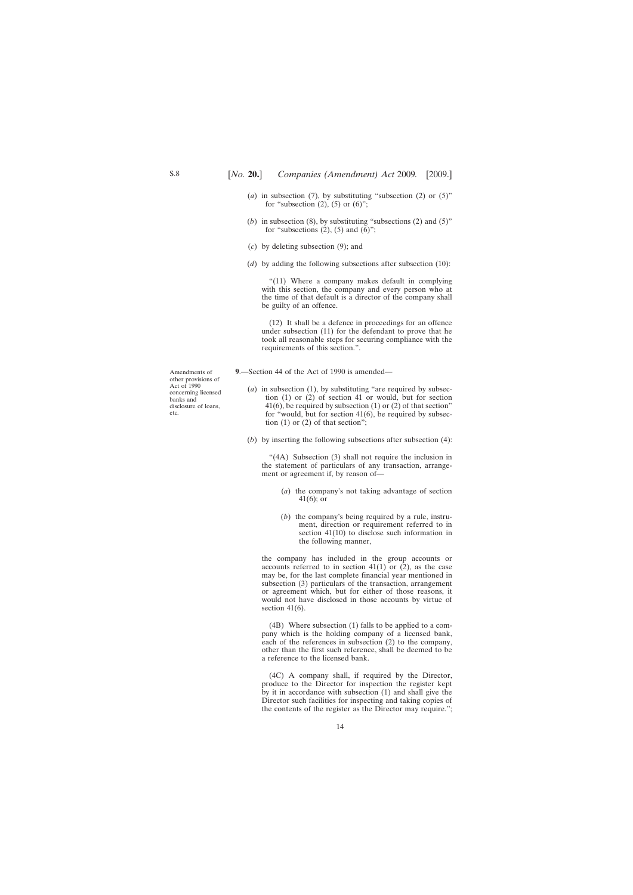- <span id="page-13-0"></span>(*a*) in subsection (7), by substituting "subsection (2) or  $(5)$ " for "subsection  $(2)$ ,  $(5)$  or  $(6)$ ";
- (*b*) in subsection (8), by substituting "subsections (2) and (5)" for "subsections  $(2)$ ,  $(5)$  and  $(6)$ ";
- (*c*) by deleting subsection (9); and
- (*d*) by adding the following subsections after subsection (10):

"(11) Where a company makes default in complying with this section, the company and every person who at the time of that default is a director of the company shall be guilty of an offence.

(12) It shall be a defence in proceedings for an offence under subsection (11) for the defendant to prove that he took all reasonable steps for securing compliance with the requirements of this section.".

- **9**.—Section 44 of the Act of 1990 is amended—
	- (*a*) in subsection (1), by substituting "are required by subsection (1) or (2) of section 41 or would, but for section 41(6), be required by subsection (1) or (2) of that section" for "would, but for section 41(6), be required by subsection  $(1)$  or  $(2)$  of that section";
	- (*b*) by inserting the following subsections after subsection (4):

"(4A) Subsection (3) shall not require the inclusion in the statement of particulars of any transaction, arrangement or agreement if, by reason of—

- (*a*) the company's not taking advantage of section 41(6); or
- (*b*) the company's being required by a rule, instrument, direction or requirement referred to in section 41(10) to disclose such information in the following manner,

the company has included in the group accounts or accounts referred to in section  $41(1)$  or  $(2)$ , as the case may be, for the last complete financial year mentioned in subsection (3) particulars of the transaction, arrangement or agreement which, but for either of those reasons, it would not have disclosed in those accounts by virtue of section  $41(6)$ .

(4B) Where subsection (1) falls to be applied to a company which is the holding company of a licensed bank, each of the references in subsection (2) to the company, other than the first such reference, shall be deemed to be a reference to the licensed bank.

(4C) A company shall, if required by the Director, produce to the Director for inspection the register kept by it in accordance with subsection (1) and shall give the Director such facilities for inspecting and taking copies of the contents of the register as the Director may require.";

Amendments of other provisions of Act of 1990 concerning licensed banks and disclosure of loans, etc.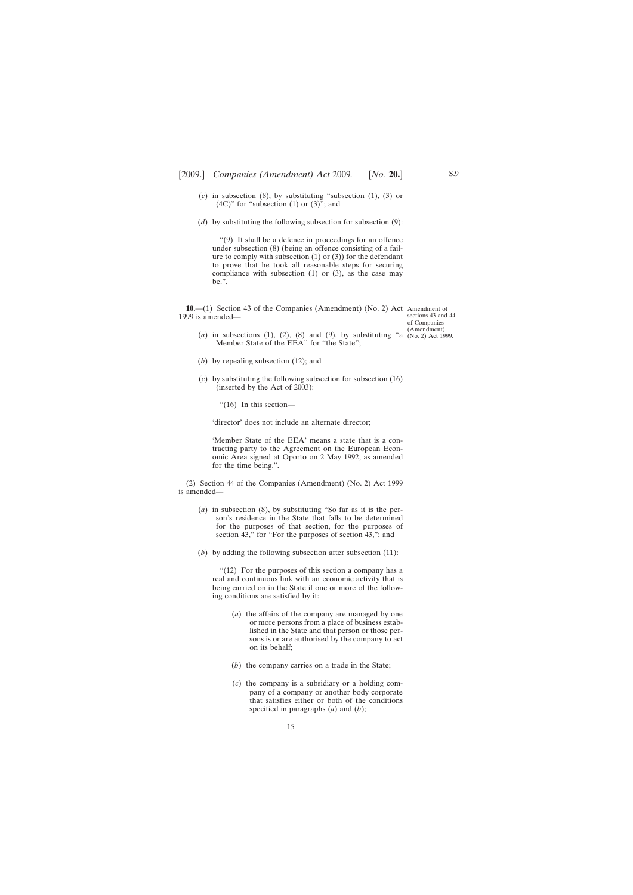- <span id="page-14-0"></span>(*c*) in subsection (8), by substituting "subsection (1), (3) or  $(4C)$ " for "subsection  $(1)$  or  $(3)$ "; and
- (*d*) by substituting the following subsection for subsection (9):

"(9) It shall be a defence in proceedings for an offence under subsection (8) (being an offence consisting of a failure to comply with subsection  $(1)$  or  $(3)$ ) for the defendant to prove that he took all reasonable steps for securing compliance with subsection  $(1)$  or  $(3)$ , as the case may be.".

**10**.—(1) Section 43 of the Companies (Amendment) (No. 2) Act Amendment of 1999 is amended—

sections 43 and 44 of Companies (Amendment)

- (*a*) in subsections (1), (2), (8) and (9), by substituting "a  $(N_0, 2)$  Act 1999. Member State of the EEA" for "the State";
- (*b*) by repealing subsection (12); and
- (*c*) by substituting the following subsection for subsection (16) (inserted by the Act of 2003):

"(16) In this section—

'director' does not include an alternate director;

'Member State of the EEA' means a state that is a contracting party to the Agreement on the European Economic Area signed at Oporto on 2 May 1992, as amended for the time being.".

(2) Section 44 of the Companies (Amendment) (No. 2) Act 1999 is amended—

- (*a*) in subsection (8), by substituting "So far as it is the person's residence in the State that falls to be determined for the purposes of that section, for the purposes of section 43," for "For the purposes of section 43,"; and
- (*b*) by adding the following subsection after subsection (11):

"(12) For the purposes of this section a company has a real and continuous link with an economic activity that is being carried on in the State if one or more of the following conditions are satisfied by it:

- (*a*) the affairs of the company are managed by one or more persons from a place of business established in the State and that person or those persons is or are authorised by the company to act on its behalf;
- (*b*) the company carries on a trade in the State;
- (*c*) the company is a subsidiary or a holding company of a company or another body corporate that satisfies either or both of the conditions specified in paragraphs (*a*) and (*b*);